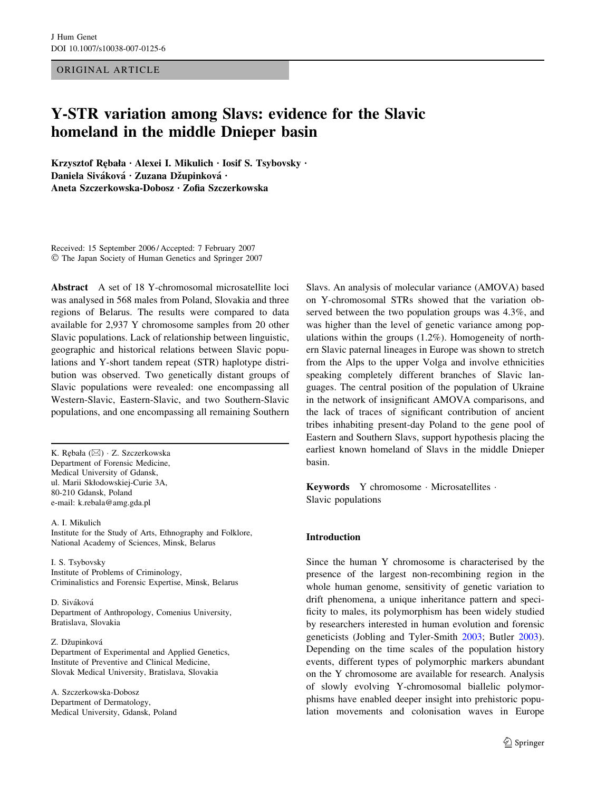ORIGINAL ARTICLE

# Y-STR variation among Slavs: evidence for the Slavic homeland in the middle Dnieper basin

Krzysztof Rębała · Alexei I. Mikulich · Iosif S. Tsybovsky · Daniela Siváková · Zuzana Džupinková · Aneta Szczerkowska-Dobosz · Zofia Szczerkowska

Received: 15 September 2006 / Accepted: 7 February 2007 The Japan Society of Human Genetics and Springer 2007

Abstract A set of 18 Y-chromosomal microsatellite loci was analysed in 568 males from Poland, Slovakia and three regions of Belarus. The results were compared to data available for 2,937 Y chromosome samples from 20 other Slavic populations. Lack of relationship between linguistic, geographic and historical relations between Slavic populations and Y-short tandem repeat (STR) haplotype distribution was observed. Two genetically distant groups of Slavic populations were revealed: one encompassing all Western-Slavic, Eastern-Slavic, and two Southern-Slavic populations, and one encompassing all remaining Southern

K. Rębała (⊠) · Z. Szczerkowska Department of Forensic Medicine, Medical University of Gdansk, ul. Marii Skłodowskiej-Curie 3A, 80-210 Gdansk, Poland e-mail: k.rebala@amg.gda.pl

A. I. Mikulich Institute for the Study of Arts, Ethnography and Folklore, National Academy of Sciences, Minsk, Belarus

I. S. Tsybovsky Institute of Problems of Criminology, Criminalistics and Forensic Expertise, Minsk, Belarus

D. Siváková Department of Anthropology, Comenius University, Bratislava, Slovakia

Z. Džupinková

Department of Experimental and Applied Genetics, Institute of Preventive and Clinical Medicine, Slovak Medical University, Bratislava, Slovakia

A. Szczerkowska-Dobosz Department of Dermatology, Medical University, Gdansk, Poland Slavs. An analysis of molecular variance (AMOVA) based on Y-chromosomal STRs showed that the variation observed between the two population groups was 4.3%, and was higher than the level of genetic variance among populations within the groups (1.2%). Homogeneity of northern Slavic paternal lineages in Europe was shown to stretch from the Alps to the upper Volga and involve ethnicities speaking completely different branches of Slavic languages. The central position of the population of Ukraine in the network of insignificant AMOVA comparisons, and the lack of traces of significant contribution of ancient tribes inhabiting present-day Poland to the gene pool of Eastern and Southern Slavs, support hypothesis placing the earliest known homeland of Slavs in the middle Dnieper basin.

Keywords Y chromosome · Microsatellites · Slavic populations

## Introduction

Since the human Y chromosome is characterised by the presence of the largest non-recombining region in the whole human genome, sensitivity of genetic variation to drift phenomena, a unique inheritance pattern and specificity to males, its polymorphism has been widely studied by researchers interested in human evolution and forensic geneticists (Jobling and Tyler-Smith [2003;](#page-7-0) Butler [2003](#page-7-0)). Depending on the time scales of the population history events, different types of polymorphic markers abundant on the Y chromosome are available for research. Analysis of slowly evolving Y-chromosomal biallelic polymorphisms have enabled deeper insight into prehistoric population movements and colonisation waves in Europe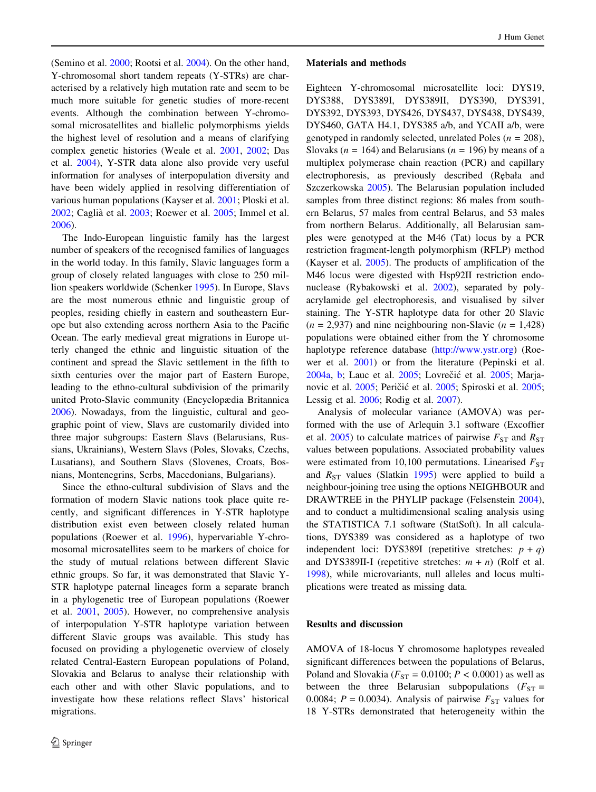(Semino et al. [2000;](#page-8-0) Rootsi et al. [2004\)](#page-7-0). On the other hand, Y-chromosomal short tandem repeats (Y-STRs) are characterised by a relatively high mutation rate and seem to be much more suitable for genetic studies of more-recent events. Although the combination between Y-chromosomal microsatellites and biallelic polymorphisms yields the highest level of resolution and a means of clarifying complex genetic histories (Weale et al. [2001,](#page-8-0) [2002;](#page-8-0) Das et al. [2004\)](#page-7-0), Y-STR data alone also provide very useful information for analyses of interpopulation diversity and have been widely applied in resolving differentiation of various human populations (Kayser et al. [2001](#page-7-0); Ploski et al. [2002;](#page-7-0) Caglia` et al. [2003;](#page-7-0) Roewer et al. [2005](#page-7-0); Immel et al. [2006\)](#page-7-0).

The Indo-European linguistic family has the largest number of speakers of the recognised families of languages in the world today. In this family, Slavic languages form a group of closely related languages with close to 250 million speakers worldwide (Schenker [1995](#page-8-0)). In Europe, Slavs are the most numerous ethnic and linguistic group of peoples, residing chiefly in eastern and southeastern Europe but also extending across northern Asia to the Pacific Ocean. The early medieval great migrations in Europe utterly changed the ethnic and linguistic situation of the continent and spread the Slavic settlement in the fifth to sixth centuries over the major part of Eastern Europe, leading to the ethno-cultural subdivision of the primarily united Proto-Slavic community (Encyclopædia Britannica [2006\)](#page-7-0). Nowadays, from the linguistic, cultural and geographic point of view, Slavs are customarily divided into three major subgroups: Eastern Slavs (Belarusians, Russians, Ukrainians), Western Slavs (Poles, Slovaks, Czechs, Lusatians), and Southern Slavs (Slovenes, Croats, Bosnians, Montenegrins, Serbs, Macedonians, Bulgarians).

Since the ethno-cultural subdivision of Slavs and the formation of modern Slavic nations took place quite recently, and significant differences in Y-STR haplotype distribution exist even between closely related human populations (Roewer et al. [1996](#page-7-0)), hypervariable Y-chromosomal microsatellites seem to be markers of choice for the study of mutual relations between different Slavic ethnic groups. So far, it was demonstrated that Slavic Y-STR haplotype paternal lineages form a separate branch in a phylogenetic tree of European populations (Roewer et al. [2001,](#page-7-0) [2005\)](#page-7-0). However, no comprehensive analysis of interpopulation Y-STR haplotype variation between different Slavic groups was available. This study has focused on providing a phylogenetic overview of closely related Central-Eastern European populations of Poland, Slovakia and Belarus to analyse their relationship with each other and with other Slavic populations, and to investigate how these relations reflect Slavs' historical migrations.

### Materials and methods

Eighteen Y-chromosomal microsatellite loci: DYS19, DYS388, DYS389I, DYS389II, DYS390, DYS391, DYS392, DYS393, DYS426, DYS437, DYS438, DYS439, DYS460, GATA H4.1, DYS385 a/b, and YCAII a/b, were genotyped in randomly selected, unrelated Poles ( $n = 208$ ), Slovaks ( $n = 164$ ) and Belarusians ( $n = 196$ ) by means of a multiplex polymerase chain reaction (PCR) and capillary electrophoresis, as previously described (Rebała and Szczerkowska [2005](#page-7-0)). The Belarusian population included samples from three distinct regions: 86 males from southern Belarus, 57 males from central Belarus, and 53 males from northern Belarus. Additionally, all Belarusian samples were genotyped at the M46 (Tat) locus by a PCR restriction fragment-length polymorphism (RFLP) method (Kayser et al. [2005](#page-7-0)). The products of amplification of the M46 locus were digested with Hsp92II restriction endonuclease (Rybakowski et al. [2002\)](#page-8-0), separated by polyacrylamide gel electrophoresis, and visualised by silver staining. The Y-STR haplotype data for other 20 Slavic  $(n = 2,937)$  and nine neighbouring non-Slavic  $(n = 1,428)$ populations were obtained either from the Y chromosome haplotype reference database (http://www.ystr.org) (Roewer et al. [2001\)](#page-7-0) or from the literature (Pepinski et al. [2004a,](#page-7-0) [b](#page-7-0); Lauc et al. [2005](#page-7-0); Lovrečić et al. 2005; Marja-novic et al. [2005](#page-8-0); Peričić et al. [2005;](#page-7-0) Spiroski et al. 2005; Lessig et al. [2006](#page-7-0); Rodig et al. [2007\)](#page-7-0).

Analysis of molecular variance (AMOVA) was performed with the use of Arlequin 3.1 software (Excoffier et al. [2005\)](#page-7-0) to calculate matrices of pairwise  $F_{ST}$  and  $R_{ST}$ values between populations. Associated probability values were estimated from 10,100 permutations. Linearised  $F_{ST}$ and  $R_{ST}$  values (Slatkin [1995](#page-8-0)) were applied to build a neighbour-joining tree using the options NEIGHBOUR and DRAWTREE in the PHYLIP package (Felsenstein [2004](#page-7-0)), and to conduct a multidimensional scaling analysis using the STATISTICA 7.1 software (StatSoft). In all calculations, DYS389 was considered as a haplotype of two independent loci: DYS389I (repetitive stretches:  $p + q$ ) and DYS389II-I (repetitive stretches:  $m + n$ ) (Rolf et al. [1998](#page-7-0)), while microvariants, null alleles and locus multiplications were treated as missing data.

## Results and discussion

AMOVA of 18-locus Y chromosome haplotypes revealed significant differences between the populations of Belarus, Poland and Slovakia ( $F_{ST} = 0.0100$ ;  $P < 0.0001$ ) as well as between the three Belarusian subpopulations ( $F_{ST}$  = 0.0084;  $P = 0.0034$ ). Analysis of pairwise  $F_{ST}$  values for 18 Y-STRs demonstrated that heterogeneity within the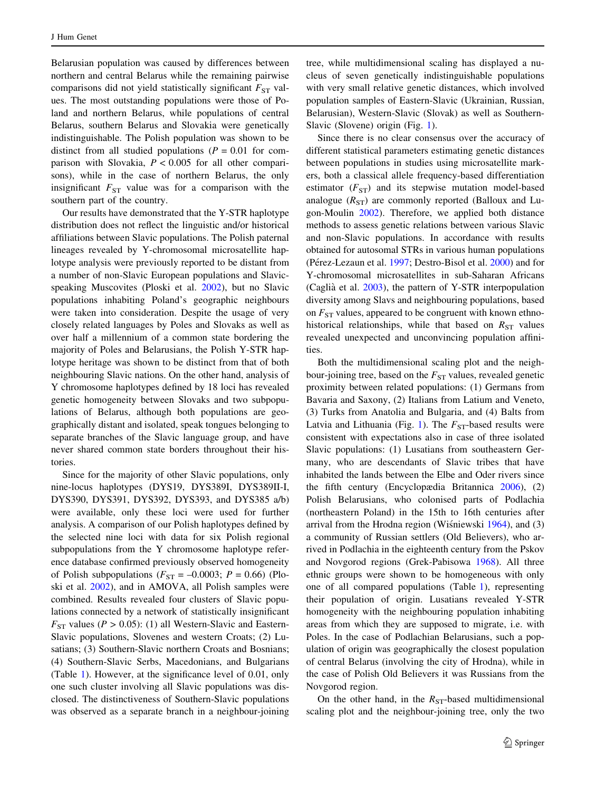Belarusian population was caused by differences between northern and central Belarus while the remaining pairwise comparisons did not yield statistically significant  $F_{ST}$  values. The most outstanding populations were those of Poland and northern Belarus, while populations of central Belarus, southern Belarus and Slovakia were genetically indistinguishable. The Polish population was shown to be distinct from all studied populations ( $P = 0.01$  for comparison with Slovakia,  $P < 0.005$  for all other comparisons), while in the case of northern Belarus, the only insignificant  $F_{ST}$  value was for a comparison with the southern part of the country.

Our results have demonstrated that the Y-STR haplotype distribution does not reflect the linguistic and/or historical affiliations between Slavic populations. The Polish paternal lineages revealed by Y-chromosomal microsatellite haplotype analysis were previously reported to be distant from a number of non-Slavic European populations and Slavicspeaking Muscovites (Ploski et al. [2002](#page-7-0)), but no Slavic populations inhabiting Poland's geographic neighbours were taken into consideration. Despite the usage of very closely related languages by Poles and Slovaks as well as over half a millennium of a common state bordering the majority of Poles and Belarusians, the Polish Y-STR haplotype heritage was shown to be distinct from that of both neighbouring Slavic nations. On the other hand, analysis of Y chromosome haplotypes defined by 18 loci has revealed genetic homogeneity between Slovaks and two subpopulations of Belarus, although both populations are geographically distant and isolated, speak tongues belonging to separate branches of the Slavic language group, and have never shared common state borders throughout their histories.

Since for the majority of other Slavic populations, only nine-locus haplotypes (DYS19, DYS389I, DYS389II-I, DYS390, DYS391, DYS392, DYS393, and DYS385 a/b) were available, only these loci were used for further analysis. A comparison of our Polish haplotypes defined by the selected nine loci with data for six Polish regional subpopulations from the Y chromosome haplotype reference database confirmed previously observed homogeneity of Polish subpopulations ( $F_{ST} = -0.0003$ ;  $P = 0.66$ ) (Ploski et al. [2002](#page-7-0)), and in AMOVA, all Polish samples were combined. Results revealed four clusters of Slavic populations connected by a network of statistically insignificant  $F_{ST}$  values (P > 0.05): (1) all Western-Slavic and Eastern-Slavic populations, Slovenes and western Croats; (2) Lusatians; (3) Southern-Slavic northern Croats and Bosnians; (4) Southern-Slavic Serbs, Macedonians, and Bulgarians (Table 1). However, at the significance level of 0.01, only one such cluster involving all Slavic populations was disclosed. The distinctiveness of Southern-Slavic populations was observed as a separate branch in a neighbour-joining tree, while multidimensional scaling has displayed a nucleus of seven genetically indistinguishable populations with very small relative genetic distances, which involved population samples of Eastern-Slavic (Ukrainian, Russian, Belarusian), Western-Slavic (Slovak) as well as Southern-Slavic (Slovene) origin (Fig. [1](#page-4-0)).

Since there is no clear consensus over the accuracy of different statistical parameters estimating genetic distances between populations in studies using microsatellite markers, both a classical allele frequency-based differentiation estimator  $(F_{ST})$  and its stepwise mutation model-based analogue  $(R<sub>ST</sub>)$  are commonly reported (Balloux and Lugon-Moulin [2002\)](#page-7-0). Therefore, we applied both distance methods to assess genetic relations between various Slavic and non-Slavic populations. In accordance with results obtained for autosomal STRs in various human populations (Pérez-Lezaun et al. [1997](#page-7-0); Destro-Bisol et al. [2000\)](#page-7-0) and for Y-chromosomal microsatellites in sub-Saharan Africans (Caglia` et al. [2003\)](#page-7-0), the pattern of Y-STR interpopulation diversity among Slavs and neighbouring populations, based on  $F_{ST}$  values, appeared to be congruent with known ethnohistorical relationships, while that based on  $R_{ST}$  values revealed unexpected and unconvincing population affinities.

Both the multidimensional scaling plot and the neighbour-joining tree, based on the  $F_{ST}$  values, revealed genetic proximity between related populations: (1) Germans from Bavaria and Saxony, (2) Italians from Latium and Veneto, (3) Turks from Anatolia and Bulgaria, and (4) Balts from Latvia and Lithuania (Fig. [1\)](#page-4-0). The  $F_{ST}$ -based results were consistent with expectations also in case of three isolated Slavic populations: (1) Lusatians from southeastern Germany, who are descendants of Slavic tribes that have inhabited the lands between the Elbe and Oder rivers since the fifth century (Encyclopædia Britannica [2006](#page-7-0)), (2) Polish Belarusians, who colonised parts of Podlachia (northeastern Poland) in the 15th to 16th centuries after arrival from the Hrodna region (Wisniewski  $1964$ ), and (3) a community of Russian settlers (Old Believers), who arrived in Podlachia in the eighteenth century from the Pskov and Novgorod regions (Grek-Pabisowa [1968](#page-7-0)). All three ethnic groups were shown to be homogeneous with only one of all compared populations (Table 1), representing their population of origin. Lusatians revealed Y-STR homogeneity with the neighbouring population inhabiting areas from which they are supposed to migrate, i.e. with Poles. In the case of Podlachian Belarusians, such a population of origin was geographically the closest population of central Belarus (involving the city of Hrodna), while in the case of Polish Old Believers it was Russians from the Novgorod region.

On the other hand, in the  $R_{ST}$ -based multidimensional scaling plot and the neighbour-joining tree, only the two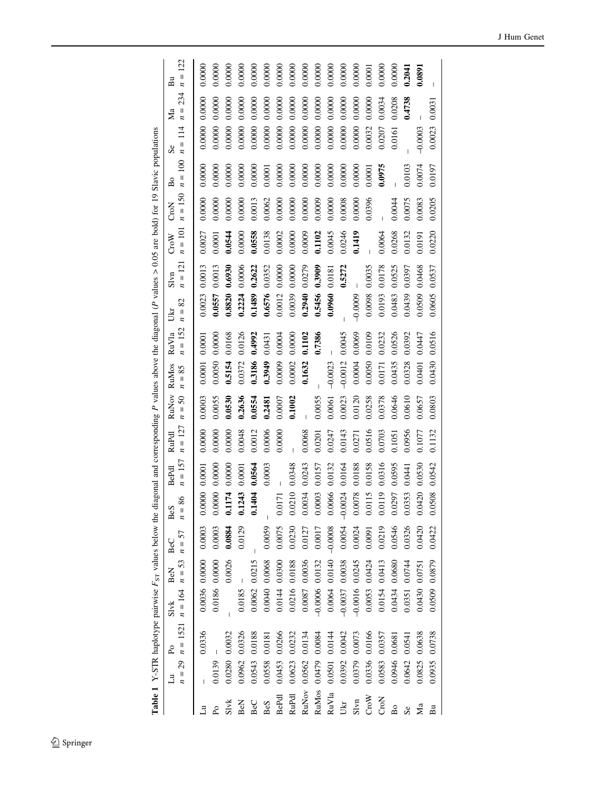|                      |                                     | <b>Table 1</b> Y-STR haplotype pairwise $F_{ST}$ values below the |           |                      |                 |                      | diagonal and corresponding $P$ values above the diagonal ( $P$ values $> 0.05$ are bold) for 19 |                    |                   |                 |                    |                  |                 |                             |                   | Slavic populations             |                       |                    |                            |
|----------------------|-------------------------------------|-------------------------------------------------------------------|-----------|----------------------|-----------------|----------------------|-------------------------------------------------------------------------------------------------|--------------------|-------------------|-----------------|--------------------|------------------|-----------------|-----------------------------|-------------------|--------------------------------|-----------------------|--------------------|----------------------------|
|                      | $n = 29$<br>$\overline{\mathbf{z}}$ | $n = 1521$ $n = 164$<br>P <sub>o</sub>                            | $S\vee k$ | $n=53$<br><b>BeN</b> | $n = 57$<br>BeC | 86<br>BeS<br>$n =$   | $n = 157$<br>BePdl                                                                              | $n = 127$<br>RuPdl | RuNov<br>$n = 50$ | RuMos<br>$n=85$ | $n = 152$<br>RuV1a | 82<br>$n =$<br>Š | $= 121$<br>Slyn | $n = 101$<br>$C_{\rm TO}$ W | $n = 150$<br>CroN | 100<br>$n =$<br>$\overline{B}$ | 114<br>$n =$<br>$s$ e | 234<br>$n =$<br>Ma | 122<br>$\mathsf{II}$<br>Βū |
|                      |                                     | 0.0336                                                            |           | 0.0036 0.0000        | 0.0003          | 0.0000               | 0.0001                                                                                          | 0.0000             | 0.0003            | 0.0001          | 0.0001             | 0.0023           | 0.0013          | 0.0027                      | 0.0000            | 0.0000                         | 0.0000                | 0.0000             | 0.0000                     |
|                      |                                     |                                                                   |           |                      |                 |                      |                                                                                                 |                    |                   |                 |                    |                  |                 |                             |                   |                                |                       |                    |                            |
| P <sub>0</sub>       | 0.0139                              |                                                                   | 0.0186    | 0.0000               | 0.0003          | 0.0000               | 0.0000                                                                                          | 0.0000             | 0.0055            | 0.0050          | 0.0000             | 0.0557           | 0.0013          | 0.0001                      | 0.0000            | 0.0000                         | 0.0000                | 0.0000             | 0.0000                     |
| Sivk                 | 0.0280                              | 0.0032                                                            |           | 0.0026               | 0.0884          | 0.1174               | 0.0000                                                                                          | 0.0000             | 0.0530            | 0.5154          | 0.0168             | 0.8820           | 0.6930          | 0.0544                      | 0.0000            | 0.0000                         | 0.0000                | 0.0000             | 0.0000                     |
| BeN                  | 0.0962                              | 0.0326                                                            | 0.0185    |                      | 0.0129          | 0.1243<br>0.1404     | 0.0001                                                                                          | 0.0048             | 0.2636            | 0.0372          | 0.0126             | 0.2224           | 0.0006          | 0.0000                      | 0.0000            | 0.0000                         | 0.0000                | 0.0000             | 0.0000                     |
| BeC                  | 0.0543                              | 0.0188                                                            | 0.0062    | 0.0215               |                 | 1404                 | 0.0564                                                                                          | 0.0012             | 0.0554            | 0.3186          | 0.4992             | 0.1489           | 0.2622          | 0.0558                      | 0.0013            | 0.0000                         | 0.0000                | 0.0000             | 0.0000                     |
| BeS                  | 0.0558                              | 0.0181                                                            | 0.0040    | 0.0068               | 0.0059          |                      | 0.0003                                                                                          | 0.0006             | 0.2481            | 0.3949          | 0.0431             | 0.6576           | 0.0352          | 0.0138                      | 0.0062            | 0.0001                         | 0.0000                | 0.0000             | 0.0000                     |
| BePdl                | 0.0453                              | 0.0266                                                            | 0.0144    | 0.0300               | 0.0075          | 0.0171               |                                                                                                 | 0.0000             | 0.0007            | 0.0009          | 0.0004             | 0.0012           | 0.0000          | 0.0002                      | 0.0000            | 0.0000                         | 0.0000                | 0.0000             | 0.0000                     |
| RuPdl                | 0.0623                              | 0.0232                                                            | 0.0216    | 0.0188               | 0.0230          | $0.0210$<br>$0.0034$ | 0.0348                                                                                          |                    | 0.1002            | 0.0002          | 0.0000             | 0.0039           | 0.0000          | 0.0000                      | 0.0000            | 0.0000                         | 0.0000                | 0.0000             | 0.0000                     |
| RuNov                | 0.0562                              | 0.0134                                                            | 0.0087    | 0.0036               | 0.0127          |                      | 0.0243                                                                                          | 0.0068             |                   | 0.1632          | 0.1102             | 0.2940           | 0.0279          | 0.0009                      | 0.0000            | 0.0000                         | 0.0000                | 0.0000             | 0.0000                     |
| RuMos                | 0.0479                              | 0.0084                                                            | $-0.0006$ | 0.0132               | 0.0017          | 0.0003               | 0.0157                                                                                          | 0.0201             | 0.0055            |                 | 0.7386             | 0.5456           | 0.3909          | 0.1102                      | 0.0009            | 0.0000                         | 0.0000                | 0.0000             | 0.0000                     |
| RuV1a                | 0.0501                              | 0.0144                                                            | 0.0064    | 0.0140               | $-0.0008$       | 0.0066               | 0.0132                                                                                          | 0.0247             | 0.0061            | $-0.0023$       |                    | 0.0960           | 0.0181          | 0.0045                      | 0.0000            | 0.0000                         | 0.0000                | 0.0000             | 0.0000                     |
| Ukr                  | 0.0392                              | 0.0042                                                            | $-0.0037$ | 0.0038               | 0.0054          | $-0.0024$            | 0.0164                                                                                          | 0.0143             | 0.0023            | $-0.0012$       | 0.0045             |                  | 0.5272          | 0.0246                      | 0.0008            | 0.0000                         | 0.0000                | 0.0000             | 0.0000                     |
| Slvn                 | 0.0379                              | 0.0073                                                            | $-0.0016$ | 0.0245               | 0.0024          | 0.0078               | 0.0188                                                                                          | 0.0271             | 0.0120            | 0.0004          | 0.0069             | $-0.0009$        |                 | 0.1419                      | 0.0000            | 0.0000                         | 0.0000                | 0.0000             | 0.0000                     |
| $C_{\rm TO} {\rm W}$ | 0.0336                              | 0.0166                                                            | 0.0053    | 0.0424               | 0.0091          | 0.0115               | 0.0158                                                                                          | 0.0516             | 0.0258            | 0.0050          | 0.0109             | 0.0098           | 0.0035          |                             | 0.0396            | $0.0001$                       | 0.0032                | 0.0000             | 0.0001                     |
| CroN                 | 0.0583                              | 0.0357                                                            | 0.0154    | 0.0413               | 0.0219          | 0.0119               | 0.0316                                                                                          | 0.0703             | 0.0378            | 0.0171          | 0.0232             | 0.0193           | 0.0178          | 0.0064                      |                   | 0.0975                         | 0.0207                | 0.0034             | 0.0000                     |
| B <sub>0</sub>       | 0.0946                              | 0.0681                                                            | 0.0434    | 0.0680               | 0.0546          | 0.0297               | 0.0595                                                                                          | 0.1051             | 0.0646            | 0.0435          | 0.0526             | 0.0483           | 0.0525          | 0.0268                      | 0.0044            |                                | 0.0161                | 0.0208             | 0.0000                     |
| s <sub>e</sub>       | 0.0642                              | 0.0541                                                            | 0.0351    | 0.0744               | 0.0326          | 0.0353               | 0.0441                                                                                          | 0.0956             | 0.0610            | 0.0328          | 0.0392             | 0.0439           | 0.0397          | 0.0132                      | 0.0075            | 0.0103                         |                       | 0.4738             | 0.2041                     |
| Ma                   | 0.0825                              | 0.0638                                                            | 0.0430    | 0.0751               | 0.0420          | 0.0420               | 0.0530                                                                                          | 0.1077             | 0.0657            | 0.0401          | 0.0447             | 0.0509           | 0.0468          | 0.0191                      | 0.0083            | 0.0074                         | $-0.0003$             |                    | 0.0891                     |
| Bu                   | 0.0935                              | 0.0738                                                            | 0.0509    | 0.0879               | 0.0422          | 0.0508               | 0.0542                                                                                          | 0.1132             | 0.0803            | 0.0430          | 0.0516             | 0.0605           | 0.0537          | 0.0220                      | 0.0205            | 0.0197                         | 0.0023                | 0.003              |                            |
|                      |                                     |                                                                   |           |                      |                 |                      |                                                                                                 |                    |                   |                 |                    |                  |                 |                             |                   |                                |                       |                    |                            |

 $\underline{\textcircled{\tiny 2}}$  Springer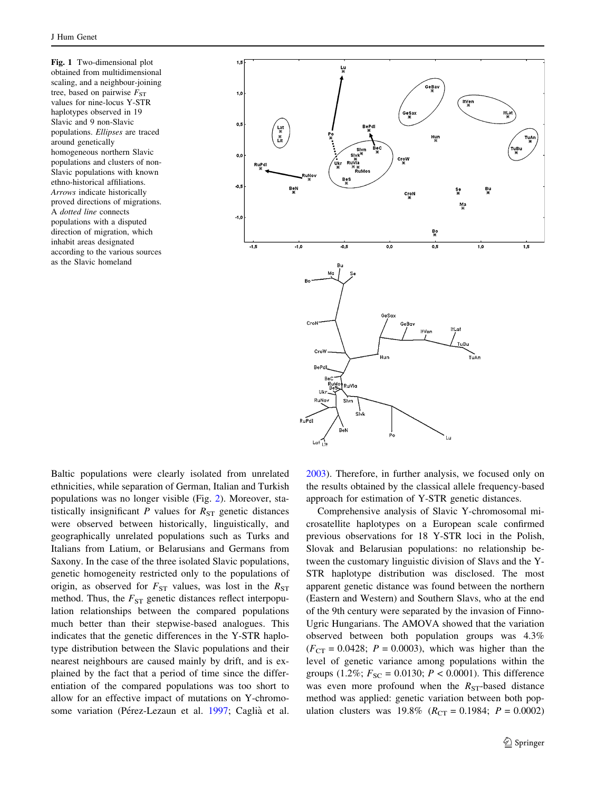<span id="page-4-0"></span>Fig. 1 Two-dimensional plot obtained from multidimensional scaling, and a neighbour-joining tree, based on pairwise  $F_{ST}$ values for nine-locus Y-STR haplotypes observed in 19 Slavic and 9 non-Slavic populations. Ellipses are traced around genetically homogeneous northern Slavic populations and clusters of non-Slavic populations with known ethno-historical affiliations. Arrows indicate historically proved directions of migrations. A dotted line connects populations with a disputed direction of migration, which inhabit areas designated according to the various sources as the Slavic homeland



Baltic populations were clearly isolated from unrelated ethnicities, while separation of German, Italian and Turkish populations was no longer visible (Fig. [2](#page-5-0)). Moreover, statistically insignificant P values for  $R_{ST}$  genetic distances were observed between historically, linguistically, and geographically unrelated populations such as Turks and Italians from Latium, or Belarusians and Germans from Saxony. In the case of the three isolated Slavic populations, genetic homogeneity restricted only to the populations of origin, as observed for  $F_{ST}$  values, was lost in the  $R_{ST}$ method. Thus, the  $F_{ST}$  genetic distances reflect interpopulation relationships between the compared populations much better than their stepwise-based analogues. This indicates that the genetic differences in the Y-STR haplotype distribution between the Slavic populations and their nearest neighbours are caused mainly by drift, and is explained by the fact that a period of time since the differentiation of the compared populations was too short to allow for an effective impact of mutations on Y-chromo-some variation (Pérez-Lezaun et al. [1997](#page-7-0); Caglià et al.

[2003](#page-7-0)). Therefore, in further analysis, we focused only on the results obtained by the classical allele frequency-based approach for estimation of Y-STR genetic distances.

Comprehensive analysis of Slavic Y-chromosomal microsatellite haplotypes on a European scale confirmed previous observations for 18 Y-STR loci in the Polish, Slovak and Belarusian populations: no relationship between the customary linguistic division of Slavs and the Y-STR haplotype distribution was disclosed. The most apparent genetic distance was found between the northern (Eastern and Western) and Southern Slavs, who at the end of the 9th century were separated by the invasion of Finno-Ugric Hungarians. The AMOVA showed that the variation observed between both population groups was 4.3%  $(F_{CT} = 0.0428; P = 0.0003)$ , which was higher than the level of genetic variance among populations within the groups (1.2%;  $F_{SC} = 0.0130$ ;  $P < 0.0001$ ). This difference was even more profound when the  $R_{ST}$ -based distance method was applied: genetic variation between both population clusters was  $19.8\%$  ( $R_{CT} = 0.1984$ ;  $P = 0.0002$ )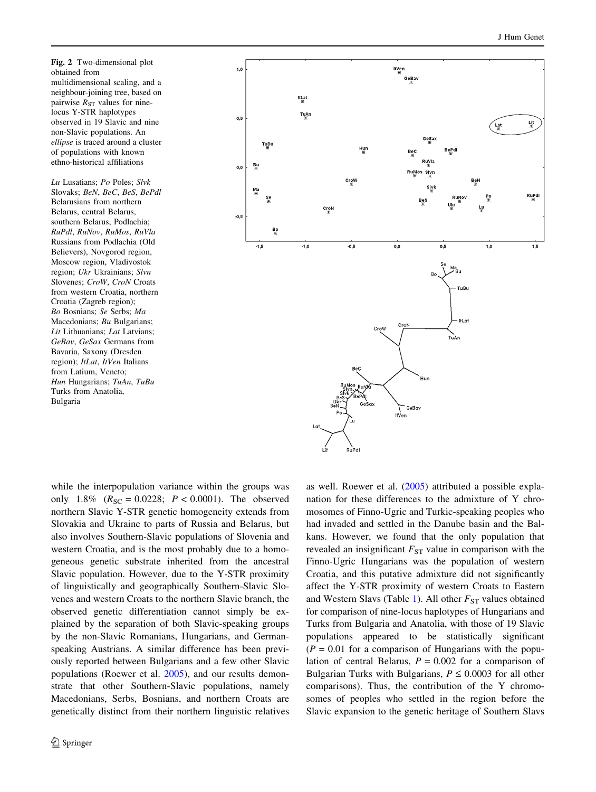<span id="page-5-0"></span>Fig. 2 Two-dimensional plot obtained from multidimensional scaling, and a neighbour-joining tree, based on pairwise  $R_{ST}$  values for ninelocus Y-STR haplotypes observed in 19 Slavic and nine non-Slavic populations. An ellipse is traced around a cluster of populations with known ethno-historical affiliations

Lu Lusatians; Po Poles; Slvk Slovaks; BeN, BeC, BeS, BePdl Belarusians from northern Belarus, central Belarus, southern Belarus, Podlachia; RuPdl, RuNov, RuMos, RuVla Russians from Podlachia (Old Believers), Novgorod region, Moscow region, Vladivostok region; Ukr Ukrainians; Slvn Slovenes; CroW, CroN Croats from western Croatia, northern Croatia (Zagreb region); Bo Bosnians; Se Serbs; Ma Macedonians; Bu Bulgarians; Lit Lithuanians; Lat Latvians; GeBav, GeSax Germans from Bavaria, Saxony (Dresden region); ItLat, ItVen Italians from Latium, Veneto; Hun Hungarians; TuAn, TuBu Turks from Anatolia, Bulgaria



while the interpopulation variance within the groups was only 1.8%  $(R_{SC} = 0.0228; P < 0.0001)$ . The observed northern Slavic Y-STR genetic homogeneity extends from Slovakia and Ukraine to parts of Russia and Belarus, but also involves Southern-Slavic populations of Slovenia and western Croatia, and is the most probably due to a homogeneous genetic substrate inherited from the ancestral Slavic population. However, due to the Y-STR proximity of linguistically and geographically Southern-Slavic Slovenes and western Croats to the northern Slavic branch, the observed genetic differentiation cannot simply be explained by the separation of both Slavic-speaking groups by the non-Slavic Romanians, Hungarians, and Germanspeaking Austrians. A similar difference has been previously reported between Bulgarians and a few other Slavic populations (Roewer et al. [2005](#page-7-0)), and our results demonstrate that other Southern-Slavic populations, namely Macedonians, Serbs, Bosnians, and northern Croats are genetically distinct from their northern linguistic relatives as well. Roewer et al. ([2005\)](#page-7-0) attributed a possible explanation for these differences to the admixture of Y chromosomes of Finno-Ugric and Turkic-speaking peoples who had invaded and settled in the Danube basin and the Balkans. However, we found that the only population that revealed an insignificant  $F_{ST}$  value in comparison with the Finno-Ugric Hungarians was the population of western Croatia, and this putative admixture did not significantly affect the Y-STR proximity of western Croats to Eastern and Western Slavs (Table 1). All other  $F_{ST}$  values obtained for comparison of nine-locus haplotypes of Hungarians and Turks from Bulgaria and Anatolia, with those of 19 Slavic populations appeared to be statistically significant  $(P = 0.01)$  for a comparison of Hungarians with the population of central Belarus,  $P = 0.002$  for a comparison of Bulgarian Turks with Bulgarians,  $P \le 0.0003$  for all other comparisons). Thus, the contribution of the Y chromosomes of peoples who settled in the region before the Slavic expansion to the genetic heritage of Southern Slavs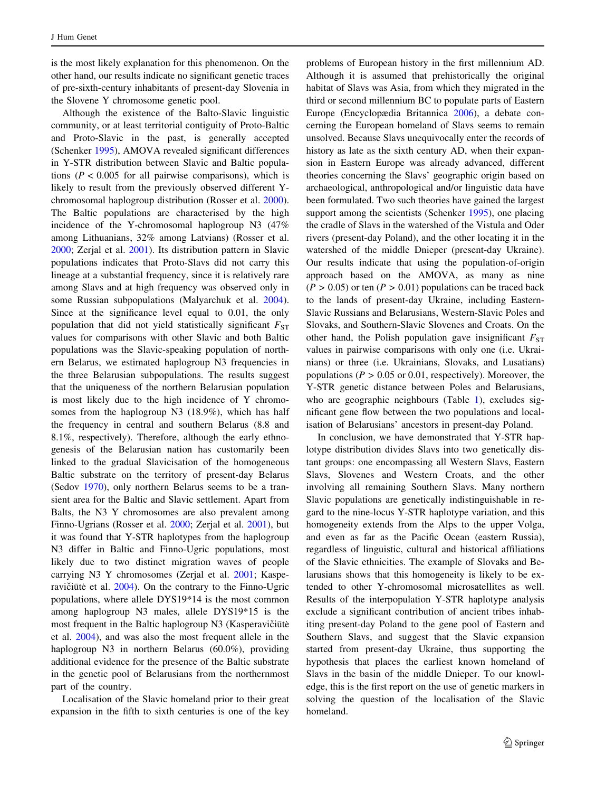is the most likely explanation for this phenomenon. On the other hand, our results indicate no significant genetic traces of pre-sixth-century inhabitants of present-day Slovenia in the Slovene Y chromosome genetic pool.

Although the existence of the Balto-Slavic linguistic community, or at least territorial contiguity of Proto-Baltic and Proto-Slavic in the past, is generally accepted (Schenker [1995](#page-8-0)), AMOVA revealed significant differences in Y-STR distribution between Slavic and Baltic populations ( $P < 0.005$  for all pairwise comparisons), which is likely to result from the previously observed different Ychromosomal haplogroup distribution (Rosser et al. [2000](#page-8-0)). The Baltic populations are characterised by the high incidence of the Y-chromosomal haplogroup N3 (47% among Lithuanians, 32% among Latvians) (Rosser et al. [2000;](#page-8-0) Zerjal et al. [2001\)](#page-8-0). Its distribution pattern in Slavic populations indicates that Proto-Slavs did not carry this lineage at a substantial frequency, since it is relatively rare among Slavs and at high frequency was observed only in some Russian subpopulations (Malyarchuk et al. [2004](#page-7-0)). Since at the significance level equal to 0.01, the only population that did not yield statistically significant  $F_{ST}$ values for comparisons with other Slavic and both Baltic populations was the Slavic-speaking population of northern Belarus, we estimated haplogroup N3 frequencies in the three Belarusian subpopulations. The results suggest that the uniqueness of the northern Belarusian population is most likely due to the high incidence of Y chromosomes from the haplogroup N3 (18.9%), which has half the frequency in central and southern Belarus (8.8 and 8.1%, respectively). Therefore, although the early ethnogenesis of the Belarusian nation has customarily been linked to the gradual Slavicisation of the homogeneous Baltic substrate on the territory of present-day Belarus (Sedov [1970](#page-8-0)), only northern Belarus seems to be a transient area for the Baltic and Slavic settlement. Apart from Balts, the N3 Y chromosomes are also prevalent among Finno-Ugrians (Rosser et al. [2000](#page-8-0); Zerjal et al. [2001](#page-8-0)), but it was found that Y-STR haplotypes from the haplogroup N3 differ in Baltic and Finno-Ugric populations, most likely due to two distinct migration waves of people carrying N3 Y chromosomes (Zerjal et al. [2001;](#page-8-0) Kaspe-ravičiūtė et al. [2004](#page-7-0)). On the contrary to the Finno-Ugric populations, where allele DYS19\*14 is the most common among haplogroup N3 males, allele DYS19\*15 is the most frequent in the Baltic haplogroup N3 (Kasperavičiūte et al. [2004\)](#page-7-0), and was also the most frequent allele in the haplogroup N3 in northern Belarus (60.0%), providing additional evidence for the presence of the Baltic substrate in the genetic pool of Belarusians from the northernmost part of the country.

Localisation of the Slavic homeland prior to their great expansion in the fifth to sixth centuries is one of the key problems of European history in the first millennium AD. Although it is assumed that prehistorically the original habitat of Slavs was Asia, from which they migrated in the third or second millennium BC to populate parts of Eastern Europe (Encyclopædia Britannica [2006](#page-7-0)), a debate concerning the European homeland of Slavs seems to remain unsolved. Because Slavs unequivocally enter the records of history as late as the sixth century AD, when their expansion in Eastern Europe was already advanced, different theories concerning the Slavs' geographic origin based on archaeological, anthropological and/or linguistic data have been formulated. Two such theories have gained the largest support among the scientists (Schenker [1995](#page-8-0)), one placing the cradle of Slavs in the watershed of the Vistula and Oder rivers (present-day Poland), and the other locating it in the watershed of the middle Dnieper (present-day Ukraine). Our results indicate that using the population-of-origin approach based on the AMOVA, as many as nine  $(P > 0.05)$  or ten  $(P > 0.01)$  populations can be traced back to the lands of present-day Ukraine, including Eastern-Slavic Russians and Belarusians, Western-Slavic Poles and Slovaks, and Southern-Slavic Slovenes and Croats. On the other hand, the Polish population gave insignificant  $F_{ST}$ values in pairwise comparisons with only one (i.e. Ukrainians) or three (i.e. Ukrainians, Slovaks, and Lusatians) populations ( $P > 0.05$  or 0.01, respectively). Moreover, the Y-STR genetic distance between Poles and Belarusians, who are geographic neighbours (Table 1), excludes significant gene flow between the two populations and localisation of Belarusians' ancestors in present-day Poland.

In conclusion, we have demonstrated that Y-STR haplotype distribution divides Slavs into two genetically distant groups: one encompassing all Western Slavs, Eastern Slavs, Slovenes and Western Croats, and the other involving all remaining Southern Slavs. Many northern Slavic populations are genetically indistinguishable in regard to the nine-locus Y-STR haplotype variation, and this homogeneity extends from the Alps to the upper Volga, and even as far as the Pacific Ocean (eastern Russia), regardless of linguistic, cultural and historical affiliations of the Slavic ethnicities. The example of Slovaks and Belarusians shows that this homogeneity is likely to be extended to other Y-chromosomal microsatellites as well. Results of the interpopulation Y-STR haplotype analysis exclude a significant contribution of ancient tribes inhabiting present-day Poland to the gene pool of Eastern and Southern Slavs, and suggest that the Slavic expansion started from present-day Ukraine, thus supporting the hypothesis that places the earliest known homeland of Slavs in the basin of the middle Dnieper. To our knowledge, this is the first report on the use of genetic markers in solving the question of the localisation of the Slavic homeland.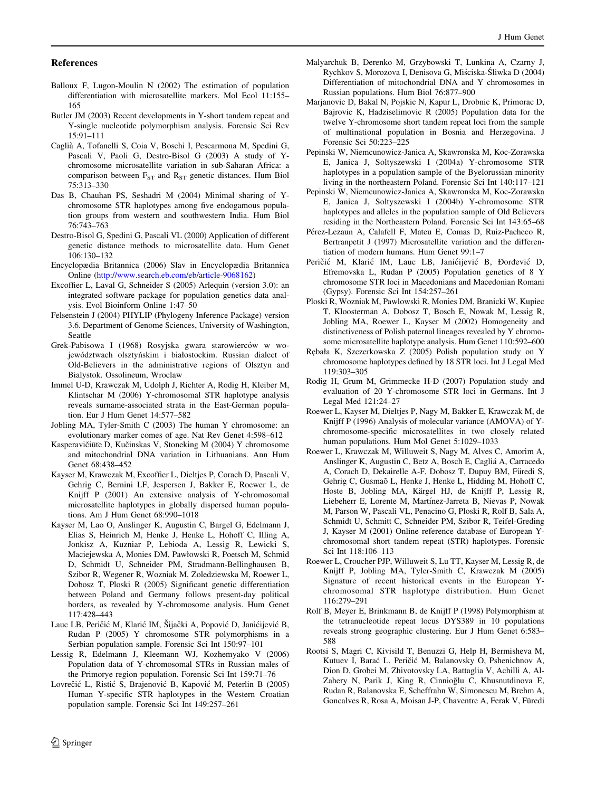### <span id="page-7-0"></span>References

- Balloux F, Lugon-Moulin N (2002) The estimation of population differentiation with microsatellite markers. Mol Ecol 11:155– 165
- Butler JM (2003) Recent developments in Y-short tandem repeat and Y-single nucleotide polymorphism analysis. Forensic Sci Rev 15:91–111
- Caglia` A, Tofanelli S, Coia V, Boschi I, Pescarmona M, Spedini G, Pascali V, Paoli G, Destro-Bisol G (2003) A study of Ychromosome microsatellite variation in sub-Saharan Africa: a comparison between  $F_{ST}$  and  $R_{ST}$  genetic distances. Hum Biol 75:313–330
- Das B, Chauhan PS, Seshadri M (2004) Minimal sharing of Ychromosome STR haplotypes among five endogamous population groups from western and southwestern India. Hum Biol 76:743–763
- Destro-Bisol G, Spedini G, Pascali VL (2000) Application of different genetic distance methods to microsatellite data. Hum Genet 106:130–132
- Encyclopædia Britannica (2006) Slav in Encyclopædia Britannica Online (http://www.search.eb.com/eb/article-9068162)
- Excoffier L, Laval G, Schneider S (2005) Arlequin (version 3.0): an integrated software package for population genetics data analysis. Evol Bioinform Online 1:47–50
- Felsenstein J (2004) PHYLIP (Phylogeny Inference Package) version 3.6. Department of Genome Sciences, University of Washington, Seattle
- Grek-Pabisowa I (1968) Rosyjska gwara starowierców w województwach olsztyńskim i białostockim. Russian dialect of Old-Believers in the administrative regions of Olsztyn and Bialystok. Ossolineum, Wroclaw
- Immel U-D, Krawczak M, Udolph J, Richter A, Rodig H, Kleiber M, Klintschar M (2006) Y-chromosomal STR haplotype analysis reveals surname-associated strata in the East-German population. Eur J Hum Genet 14:577–582
- Jobling MA, Tyler-Smith C (2003) The human Y chromosome: an evolutionary marker comes of age. Nat Rev Genet 4:598–612
- Kasperavičiūte D, Kučinskas V, Stoneking M (2004) Y chromosome and mitochondrial DNA variation in Lithuanians. Ann Hum Genet 68:438–452
- Kayser M, Krawczak M, Excoffier L, Dieltjes P, Corach D, Pascali V, Gehrig C, Bernini LF, Jespersen J, Bakker E, Roewer L, de Knijff P (2001) An extensive analysis of Y-chromosomal microsatellite haplotypes in globally dispersed human populations. Am J Hum Genet 68:990–1018
- Kayser M, Lao O, Anslinger K, Augustin C, Bargel G, Edelmann J, Elias S, Heinrich M, Henke J, Henke L, Hohoff C, Illing A, Jonkisz A, Kuzniar P, Lebioda A, Lessig R, Lewicki S, Maciejewska A, Monies DM, Pawłowski R, Poetsch M, Schmid D, Schmidt U, Schneider PM, Stradmann-Bellinghausen B, Szibor R, Wegener R, Wozniak M, Zoledziewska M, Roewer L, Dobosz T, Ploski R (2005) Significant genetic differentiation between Poland and Germany follows present-day political borders, as revealed by Y-chromosome analysis. Hum Genet 117:428–443
- Lauc LB, Peričić M, Klarić IM, Šijački A, Popović D, Janićijević B, Rudan P (2005) Y chromosome STR polymorphisms in a Serbian population sample. Forensic Sci Int 150:97–101
- Lessig R, Edelmann J, Kleemann WJ, Kozhemyako V (2006) Population data of Y-chromosomal STRs in Russian males of the Primorye region population. Forensic Sci Int 159:71–76
- Lovrečić L, Ristić S, Brajenović B, Kapović M, Peterlin B (2005) Human Y-specific STR haplotypes in the Western Croatian population sample. Forensic Sci Int 149:257–261
- Malyarchuk B, Derenko M, Grzybowski T, Lunkina A, Czarny J, Rychkov S, Morozova I, Denisova G, Miściska-Śliwka D (2004) Differentiation of mitochondrial DNA and Y chromosomes in Russian populations. Hum Biol 76:877–900
- Marjanovic D, Bakal N, Pojskic N, Kapur L, Drobnic K, Primorac D, Bajrovic K, Hadziselimovic R (2005) Population data for the twelve Y-chromosome short tandem repeat loci from the sample of multinational population in Bosnia and Herzegovina. J Forensic Sci 50:223–225
- Pepinski W, Niemcunowicz-Janica A, Skawronska M, Koc-Zorawska E, Janica J, Soltyszewski I (2004a) Y-chromosome STR haplotypes in a population sample of the Byelorussian minority living in the northeastern Poland. Forensic Sci Int 140:117–121
- Pepinski W, Niemcunowicz-Janica A, Skawronska M, Koc-Zorawska E, Janica J, Soltyszewski I (2004b) Y-chromosome STR haplotypes and alleles in the population sample of Old Believers residing in the Northeastern Poland. Forensic Sci Int 143:65–68
- Pérez-Lezaun A, Calafell F, Mateu E, Comas D, Ruiz-Pacheco R, Bertranpetit J (1997) Microsatellite variation and the differentiation of modern humans. Hum Genet 99:1–7
- Peričić M, Klarić IM, Lauc LB, Janićijević B, Đorđević D, Efremovska L, Rudan P (2005) Population genetics of 8 Y chromosome STR loci in Macedonians and Macedonian Romani (Gypsy). Forensic Sci Int 154:257–261
- Ploski R, Wozniak M, Pawlowski R, Monies DM, Branicki W, Kupiec T, Kloosterman A, Dobosz T, Bosch E, Nowak M, Lessig R, Jobling MA, Roewer L, Kayser M (2002) Homogeneity and distinctiveness of Polish paternal lineages revealed by Y chromosome microsatellite haplotype analysis. Hum Genet 110:592–600
- Re˛bała K, Szczerkowska Z (2005) Polish population study on Y chromosome haplotypes defined by 18 STR loci. Int J Legal Med 119:303–305
- Rodig H, Grum M, Grimmecke H-D (2007) Population study and evaluation of 20 Y-chromosome STR loci in Germans. Int J Legal Med 121:24–27
- Roewer L, Kayser M, Dieltjes P, Nagy M, Bakker E, Krawczak M, de Knijff P (1996) Analysis of molecular variance (AMOVA) of Ychromosome-specific microsatellites in two closely related human populations. Hum Mol Genet 5:1029–1033
- Roewer L, Krawczak M, Willuweit S, Nagy M, Alves C, Amorim A, Anslinger K, Augustin C, Betz A, Bosch E, Caglia´ A, Carracedo A, Corach D, Dekairelle A-F, Dobosz T, Dupuy BM, Füredi S, Gehrig C, Gusmaõ L, Henke J, Henke L, Hidding M, Hohoff C, Hoste B, Jobling MA, Kärgel HJ, de Knijff P, Lessig R, Liebeherr E, Lorente M, Martínez-Jarreta B, Nievas P, Nowak M, Parson W, Pascali VL, Penacino G, Ploski R, Rolf B, Sala A, Schmidt U, Schmitt C, Schneider PM, Szibor R, Teifel-Greding J, Kayser M (2001) Online reference database of European Ychromosomal short tandem repeat (STR) haplotypes. Forensic Sci Int 118:106–113
- Roewer L, Croucher PJP, Willuweit S, Lu TT, Kayser M, Lessig R, de Knijff P, Jobling MA, Tyler-Smith C, Krawczak M (2005) Signature of recent historical events in the European Ychromosomal STR haplotype distribution. Hum Genet 116:279–291
- Rolf B, Meyer E, Brinkmann B, de Knijff P (1998) Polymorphism at the tetranucleotide repeat locus DYS389 in 10 populations reveals strong geographic clustering. Eur J Hum Genet 6:583– 588
- Rootsi S, Magri C, Kivisild T, Benuzzi G, Help H, Bermisheva M, Kutuev I, Barać L, Peričić M, Balanovsky O, Pshenichnov A, Dion D, Grobei M, Zhivotovsky LA, Battaglia V, Achilli A, Al-Zahery N, Parik J, King R, Cinnioğlu C, Khusnutdinova E, Rudan R, Balanovska E, Scheffrahn W, Simonescu M, Brehm A, Goncalves R, Rosa A, Moisan J-P, Chaventre A, Ferak V, Füredi